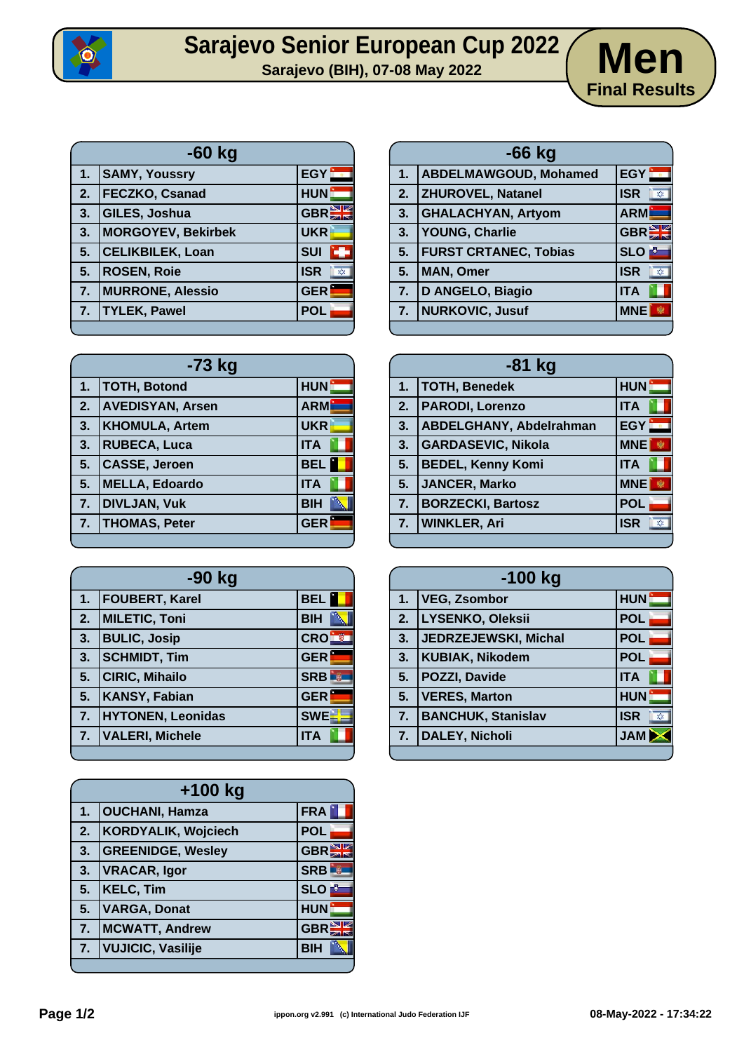

## Sarajevo Senior European Cup 2022 / Men



| $-60$ kg |                           |                              |
|----------|---------------------------|------------------------------|
| 1.       | <b>SAMY, Youssry</b>      | EGY                          |
| 2.       | <b>FECZKO, Csanad</b>     | <b>HUN</b>                   |
| 3.       | GILES, Joshua             | <b>GBREE</b>                 |
| 3.       | <b>MORGOYEV, Bekirbek</b> | <b>UKR</b>                   |
| 5.       | <b>CELIKBILEK, Loan</b>   | <b>SUI</b>                   |
| 5.       | <b>ROSEN, Roie</b>        | <b>ISR</b><br>$\overline{X}$ |
| 7.       | <b>MURRONE, Alessio</b>   | <b>GER</b>                   |
| 7.       | <b>TYLEK, Pawel</b>       | <b>POL</b>                   |

| -73 kg |                         |            |
|--------|-------------------------|------------|
| 1.     | <b>TOTH, Botond</b>     | <b>HUN</b> |
| 2.     | <b>AVEDISYAN, Arsen</b> | <b>ARM</b> |
| 3.     | <b>KHOMULA, Artem</b>   | <b>UKR</b> |
| 3.     | <b>RUBECA, Luca</b>     | <b>ITA</b> |
| 5.     | <b>CASSE, Jeroen</b>    | <b>BEL</b> |
| 5.     | <b>MELLA, Edoardo</b>   | <b>ITA</b> |
| 7.     | <b>DIVLJAN, Vuk</b>     | <b>BIH</b> |
| 7.     | <b>THOMAS, Peter</b>    | <b>GER</b> |
|        |                         |            |

| $-90$ kg |                          |                            |
|----------|--------------------------|----------------------------|
| 1.       | <b>FOUBERT, Karel</b>    | <b>BEL</b>                 |
| 2.       | <b>MILETIC, Toni</b>     | <b>BIH</b>                 |
| 3.       | <b>BULIC, Josip</b>      | <b>CRO</b>                 |
| 3.       | <b>SCHMIDT, Tim</b>      | <b>GER</b>                 |
| 5.       | <b>CIRIC, Mihailo</b>    | <b>SRB</b><br>$\mathbb{R}$ |
| 5.       | <b>KANSY, Fabian</b>     | <b>GER</b>                 |
| 7.       | <b>HYTONEN, Leonidas</b> | <b>SWE</b>                 |
| 7.       | <b>VALERI, Michele</b>   | <b>ITA</b>                 |
|          |                          |                            |

| +100 kg |                            |                  |
|---------|----------------------------|------------------|
| 1.      | <b>OUCHANI, Hamza</b>      | FRA              |
| 2.      | <b>KORDYALIK, Wojciech</b> | <b>POL</b>       |
| 3.      | <b>GREENIDGE, Wesley</b>   | <b>GBRE</b>      |
| 3.      | <b>VRACAR, Igor</b>        | <b>SRB</b>       |
| 5.      | <b>KELC, Tim</b>           | <b>SLO</b>       |
| 5.      | <b>VARGA, Donat</b>        | <b>HUN</b>       |
| 7.      | <b>MCWATT, Andrew</b>      | GBR <sup>E</sup> |
| 7.      | <b>VUJICIC, Vasilije</b>   | <b>BIH</b>       |
|         |                            |                  |

| $-66$ kg       |                              |                   |
|----------------|------------------------------|-------------------|
| 1 <sub>1</sub> | <b>ABDELMAWGOUD, Mohamed</b> | EGY:              |
| 2.             | <b>ZHUROVEL, Natanel</b>     | <b>ISR</b><br>хУ. |
| 3.             | <b>GHALACHYAN, Artyom</b>    | <b>ARM</b>        |
| 3.             | <b>YOUNG, Charlie</b>        | <b>GBREE</b>      |
| 5.             | <b>FURST CRTANEC, Tobias</b> | <b>SLO</b>        |
| 5 <sub>1</sub> | <b>MAN, Omer</b>             | <b>ISR</b><br>欢.  |
| 7.             | D ANGELO, Biagio             | <b>ITA</b>        |
| 7.             | NURKOVIC, Jusuf              | <b>MNE</b>        |
|                |                              |                   |

| $-81$ kg |                                |            |
|----------|--------------------------------|------------|
| 1.       | <b>TOTH, Benedek</b>           | HUN        |
| 2.       | <b>PARODI, Lorenzo</b>         | <b>ITA</b> |
| 3.       | <b>ABDELGHANY, Abdelrahman</b> | <b>EGY</b> |
| 3.       | <b>GARDASEVIC, Nikola</b>      | <b>MNE</b> |
| 5.       | <b>BEDEL, Kenny Komi</b>       | <b>ITA</b> |
| 5.       | JANCER, Marko                  | <b>MNE</b> |
| 7.       | <b>BORZECKI, Bartosz</b>       | <b>POL</b> |
| 7.       | <b>WINKLER, Ari</b>            | <b>ISR</b> |
|          |                                |            |

| $-100$ kg |                           |                   |
|-----------|---------------------------|-------------------|
| 1.        | <b>VEG, Zsombor</b>       | <b>HUN</b>        |
| 2.        | LYSENKO, Oleksii          | <b>POL</b>        |
| 3.        | JEDRZEJEWSKI, Michal      | <b>POL</b>        |
| 3.        | <b>KUBIAK, Nikodem</b>    | <b>POL</b>        |
| 5.        | <b>POZZI, Davide</b>      | <b>ITA</b>        |
| 5.        | <b>VERES, Marton</b>      | <b>HUN</b>        |
| 7.        | <b>BANCHUK, Stanislav</b> | <b>ISR</b><br>X). |
| 7.        | <b>DALEY, Nicholi</b>     | <b>JAM</b>        |
|           |                           |                   |